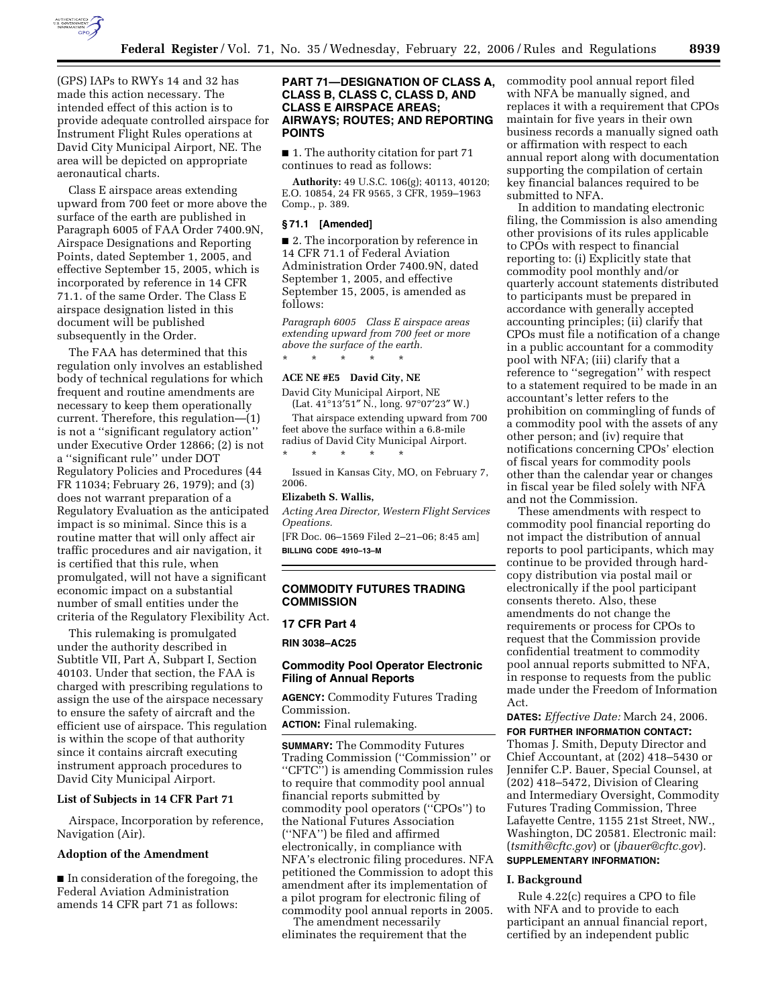

(GPS) IAPs to RWYs 14 and 32 has made this action necessary. The intended effect of this action is to provide adequate controlled airspace for Instrument Flight Rules operations at David City Municipal Airport, NE. The area will be depicted on appropriate aeronautical charts.

Class E airspace areas extending upward from 700 feet or more above the surface of the earth are published in Paragraph 6005 of FAA Order 7400.9N, Airspace Designations and Reporting Points, dated September 1, 2005, and effective September 15, 2005, which is incorporated by reference in 14 CFR 71.1. of the same Order. The Class E airspace designation listed in this document will be published subsequently in the Order.

The FAA has determined that this regulation only involves an established body of technical regulations for which frequent and routine amendments are necessary to keep them operationally current. Therefore, this regulation—(1) is not a ''significant regulatory action'' under Executive Order 12866; (2) is not a ''significant rule'' under DOT Regulatory Policies and Procedures (44 FR 11034; February 26, 1979); and (3) does not warrant preparation of a Regulatory Evaluation as the anticipated impact is so minimal. Since this is a routine matter that will only affect air traffic procedures and air navigation, it is certified that this rule, when promulgated, will not have a significant economic impact on a substantial number of small entities under the criteria of the Regulatory Flexibility Act.

This rulemaking is promulgated under the authority described in Subtitle VII, Part A, Subpart I, Section 40103. Under that section, the FAA is charged with prescribing regulations to assign the use of the airspace necessary to ensure the safety of aircraft and the efficient use of airspace. This regulation is within the scope of that authority since it contains aircraft executing instrument approach procedures to David City Municipal Airport.

#### **List of Subjects in 14 CFR Part 71**

Airspace, Incorporation by reference, Navigation (Air).

#### **Adoption of the Amendment**

■ In consideration of the foregoing, the Federal Aviation Administration amends 14 CFR part 71 as follows:

### **PART 71—DESIGNATION OF CLASS A, CLASS B, CLASS C, CLASS D, AND CLASS E AIRSPACE AREAS; AIRWAYS; ROUTES; AND REPORTING POINTS**

■ 1. The authority citation for part 71 continues to read as follows:

**Authority:** 49 U.S.C. 106(g); 40113, 40120; E.O. 10854, 24 FR 9565, 3 CFR, 1959–1963 Comp., p. 389.

### **§ 71.1 [Amended]**

■ 2. The incorporation by reference in 14 CFR 71.1 of Federal Aviation Administration Order 7400.9N, dated September 1, 2005, and effective September 15, 2005, is amended as follows:

*Paragraph 6005 Class E airspace areas extending upward from 700 feet or more above the surface of the earth.*  \* \* \* \* \*

### **ACE NE #E5 David City, NE**

David City Municipal Airport, NE (Lat. 41°13′51″ N., long. 97°07′23″ W.)

That airspace extending upward from 700 feet above the surface within a 6.8-mile radius of David City Municipal Airport. \* \* \* \* \*

Issued in Kansas City, MO, on February 7, 2006.

#### **Elizabeth S. Wallis,**

*Acting Area Director, Western Flight Services Opeations.* 

[FR Doc. 06–1569 Filed 2–21–06; 8:45 am] **BILLING CODE 4910–13–M** 

## **COMMODITY FUTURES TRADING COMMISSION**

### **17 CFR Part 4**

**RIN 3038–AC25** 

### **Commodity Pool Operator Electronic Filing of Annual Reports**

**AGENCY:** Commodity Futures Trading Commission.

**ACTION:** Final rulemaking.

**SUMMARY:** The Commodity Futures Trading Commission (''Commission'' or ''CFTC'') is amending Commission rules to require that commodity pool annual financial reports submitted by commodity pool operators (''CPOs'') to the National Futures Association (''NFA'') be filed and affirmed electronically, in compliance with NFA's electronic filing procedures. NFA petitioned the Commission to adopt this amendment after its implementation of a pilot program for electronic filing of commodity pool annual reports in 2005.

The amendment necessarily eliminates the requirement that the commodity pool annual report filed with NFA be manually signed, and replaces it with a requirement that CPOs maintain for five years in their own business records a manually signed oath or affirmation with respect to each annual report along with documentation supporting the compilation of certain key financial balances required to be submitted to NFA.

In addition to mandating electronic filing, the Commission is also amending other provisions of its rules applicable to CPOs with respect to financial reporting to: (i) Explicitly state that commodity pool monthly and/or quarterly account statements distributed to participants must be prepared in accordance with generally accepted accounting principles; (ii) clarify that CPOs must file a notification of a change in a public accountant for a commodity pool with NFA; (iii) clarify that a reference to ''segregation'' with respect to a statement required to be made in an accountant's letter refers to the prohibition on commingling of funds of a commodity pool with the assets of any other person; and (iv) require that notifications concerning CPOs' election of fiscal years for commodity pools other than the calendar year or changes in fiscal year be filed solely with NFA and not the Commission.

These amendments with respect to commodity pool financial reporting do not impact the distribution of annual reports to pool participants, which may continue to be provided through hardcopy distribution via postal mail or electronically if the pool participant consents thereto. Also, these amendments do not change the requirements or process for CPOs to request that the Commission provide confidential treatment to commodity pool annual reports submitted to NFA, in response to requests from the public made under the Freedom of Information Act.

**DATES:** *Effective Date:* March 24, 2006. **FOR FURTHER INFORMATION CONTACT:**  Thomas J. Smith, Deputy Director and Chief Accountant, at (202) 418–5430 or Jennifer C.P. Bauer, Special Counsel, at (202) 418–5472, Division of Clearing and Intermediary Oversight, Commodity Futures Trading Commission, Three Lafayette Centre, 1155 21st Street, NW., Washington, DC 20581. Electronic mail: (*tsmith@cftc.gov*) or (*jbauer@cftc.gov*). **SUPPLEMENTARY INFORMATION:** 

#### **I. Background**

Rule 4.22(c) requires a CPO to file with NFA and to provide to each participant an annual financial report, certified by an independent public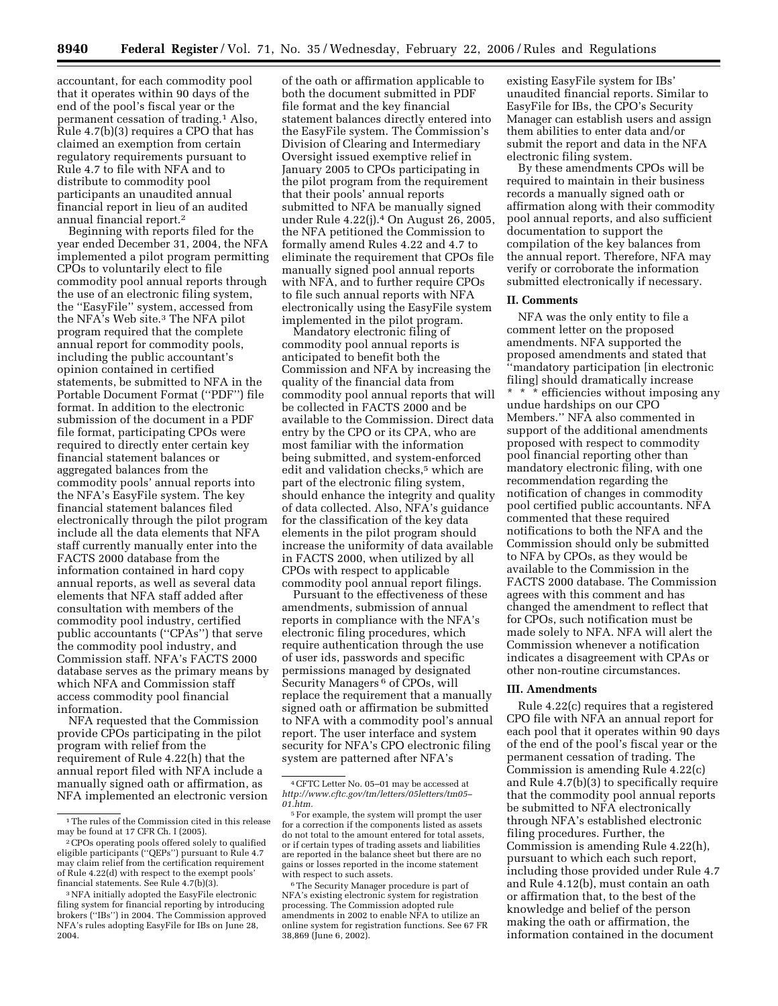accountant, for each commodity pool that it operates within 90 days of the end of the pool's fiscal year or the permanent cessation of trading.1 Also, Rule 4.7(b)(3) requires a CPO that has claimed an exemption from certain regulatory requirements pursuant to Rule 4.7 to file with NFA and to distribute to commodity pool participants an unaudited annual financial report in lieu of an audited annual financial report.2

Beginning with reports filed for the year ended December 31, 2004, the NFA implemented a pilot program permitting CPOs to voluntarily elect to file commodity pool annual reports through the use of an electronic filing system, the ''EasyFile'' system, accessed from the NFA's Web site.3 The NFA pilot program required that the complete annual report for commodity pools, including the public accountant's opinion contained in certified statements, be submitted to NFA in the Portable Document Format (''PDF'') file format. In addition to the electronic submission of the document in a PDF file format, participating CPOs were required to directly enter certain key financial statement balances or aggregated balances from the commodity pools' annual reports into the NFA's EasyFile system. The key financial statement balances filed electronically through the pilot program include all the data elements that NFA staff currently manually enter into the FACTS 2000 database from the information contained in hard copy annual reports, as well as several data elements that NFA staff added after consultation with members of the commodity pool industry, certified public accountants (''CPAs'') that serve the commodity pool industry, and Commission staff. NFA's FACTS 2000 database serves as the primary means by which NFA and Commission staff access commodity pool financial information.

NFA requested that the Commission provide CPOs participating in the pilot program with relief from the requirement of Rule 4.22(h) that the annual report filed with NFA include a manually signed oath or affirmation, as NFA implemented an electronic version

of the oath or affirmation applicable to both the document submitted in PDF file format and the key financial statement balances directly entered into the EasyFile system. The Commission's Division of Clearing and Intermediary Oversight issued exemptive relief in January 2005 to CPOs participating in the pilot program from the requirement that their pools' annual reports submitted to NFA be manually signed under Rule 4.22(j).4 On August 26, 2005, the NFA petitioned the Commission to formally amend Rules 4.22 and 4.7 to eliminate the requirement that CPOs file manually signed pool annual reports with NFA, and to further require CPOs to file such annual reports with NFA electronically using the EasyFile system implemented in the pilot program.

Mandatory electronic filing of commodity pool annual reports is anticipated to benefit both the Commission and NFA by increasing the quality of the financial data from commodity pool annual reports that will be collected in FACTS 2000 and be available to the Commission. Direct data entry by the CPO or its CPA, who are most familiar with the information being submitted, and system-enforced edit and validation checks,<sup>5</sup> which are part of the electronic filing system, should enhance the integrity and quality of data collected. Also, NFA's guidance for the classification of the key data elements in the pilot program should increase the uniformity of data available in FACTS 2000, when utilized by all CPOs with respect to applicable commodity pool annual report filings.

Pursuant to the effectiveness of these amendments, submission of annual reports in compliance with the NFA's electronic filing procedures, which require authentication through the use of user ids, passwords and specific permissions managed by designated Security Managers<sup>6</sup> of CPOs, will replace the requirement that a manually signed oath or affirmation be submitted to NFA with a commodity pool's annual report. The user interface and system security for NFA's CPO electronic filing system are patterned after NFA's

existing EasyFile system for IBs' unaudited financial reports. Similar to EasyFile for IBs, the CPO's Security Manager can establish users and assign them abilities to enter data and/or submit the report and data in the NFA electronic filing system.

By these amendments CPOs will be required to maintain in their business records a manually signed oath or affirmation along with their commodity pool annual reports, and also sufficient documentation to support the compilation of the key balances from the annual report. Therefore, NFA may verify or corroborate the information submitted electronically if necessary.

#### **II. Comments**

NFA was the only entity to file a comment letter on the proposed amendments. NFA supported the proposed amendments and stated that ''mandatory participation [in electronic filing] should dramatically increase \* \* \* efficiencies without imposing any undue hardships on our CPO Members.'' NFA also commented in support of the additional amendments proposed with respect to commodity pool financial reporting other than mandatory electronic filing, with one recommendation regarding the notification of changes in commodity pool certified public accountants. NFA commented that these required notifications to both the NFA and the Commission should only be submitted to NFA by CPOs, as they would be available to the Commission in the FACTS 2000 database. The Commission agrees with this comment and has changed the amendment to reflect that for CPOs, such notification must be made solely to NFA. NFA will alert the Commission whenever a notification indicates a disagreement with CPAs or other non-routine circumstances.

### **III. Amendments**

Rule 4.22(c) requires that a registered CPO file with NFA an annual report for each pool that it operates within 90 days of the end of the pool's fiscal year or the permanent cessation of trading. The Commission is amending Rule 4.22(c) and Rule 4.7(b)(3) to specifically require that the commodity pool annual reports be submitted to NFA electronically through NFA's established electronic filing procedures. Further, the Commission is amending Rule 4.22(h), pursuant to which each such report, including those provided under Rule 4.7 and Rule 4.12(b), must contain an oath or affirmation that, to the best of the knowledge and belief of the person making the oath or affirmation, the information contained in the document

<sup>1</sup>The rules of the Commission cited in this release may be found at 17 CFR Ch. I (2005).

<sup>2</sup>CPOs operating pools offered solely to qualified eligible participants (''QEPs'') pursuant to Rule 4.7 may claim relief from the certification requirement of Rule 4.22(d) with respect to the exempt pools' financial statements. See Rule 4.7(b)(3).

<sup>3</sup>NFA initially adopted the EasyFile electronic filing system for financial reporting by introducing brokers (''IBs'') in 2004. The Commission approved NFA's rules adopting EasyFile for IBs on June 28, 2004.

<sup>4</sup>CFTC Letter No. 05–01 may be accessed at *http://www.cftc.gov/tm/letters/05letters/tm05– 01.htm.* 

<sup>5</sup>For example, the system will prompt the user for a correction if the components listed as assets do not total to the amount entered for total assets, or if certain types of trading assets and liabilities are reported in the balance sheet but there are no gains or losses reported in the income statement<br>with respect to such assets.

<sup>&</sup>lt;sup>6</sup>The Security Manager procedure is part of NFA's existing electronic system for registration processing. The Commission adopted rule amendments in 2002 to enable NFA to utilize an online system for registration functions. See 67 FR 38,869 (June 6, 2002).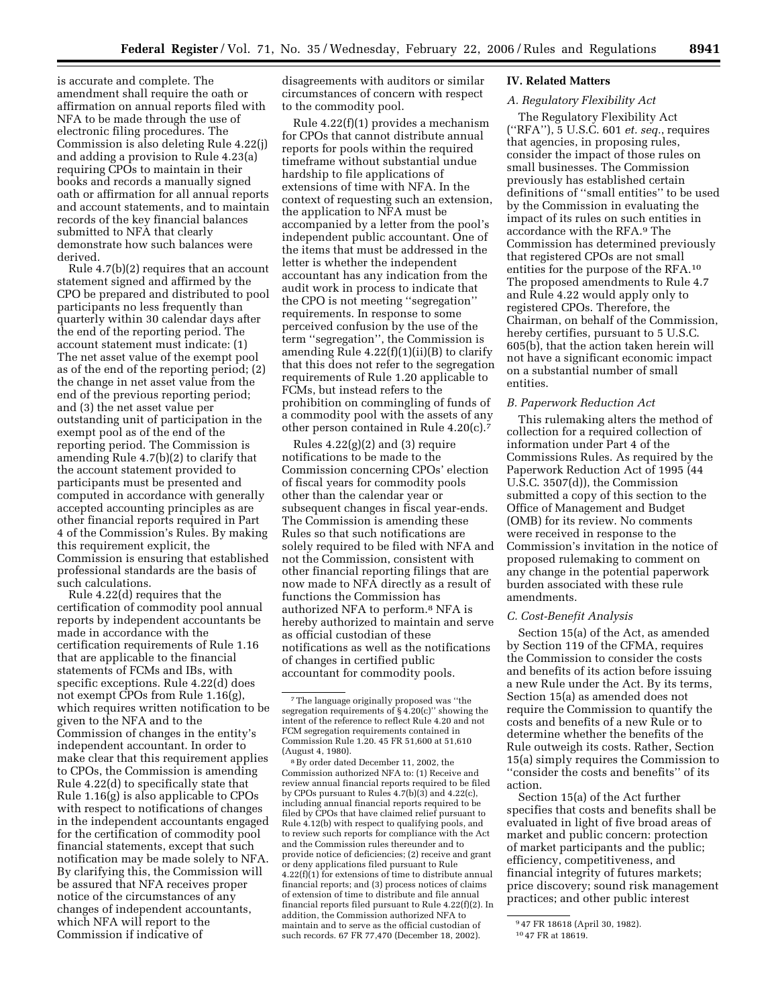is accurate and complete. The amendment shall require the oath or affirmation on annual reports filed with NFA to be made through the use of electronic filing procedures. The Commission is also deleting Rule 4.22(j) and adding a provision to Rule 4.23(a) requiring CPOs to maintain in their books and records a manually signed oath or affirmation for all annual reports and account statements, and to maintain records of the key financial balances submitted to NFA that clearly demonstrate how such balances were derived.

Rule 4.7(b)(2) requires that an account statement signed and affirmed by the CPO be prepared and distributed to pool participants no less frequently than quarterly within 30 calendar days after the end of the reporting period. The account statement must indicate: (1) The net asset value of the exempt pool as of the end of the reporting period; (2) the change in net asset value from the end of the previous reporting period; and (3) the net asset value per outstanding unit of participation in the exempt pool as of the end of the reporting period. The Commission is amending Rule 4.7(b)(2) to clarify that the account statement provided to participants must be presented and computed in accordance with generally accepted accounting principles as are other financial reports required in Part 4 of the Commission's Rules. By making this requirement explicit, the Commission is ensuring that established professional standards are the basis of such calculations.

Rule 4.22(d) requires that the certification of commodity pool annual reports by independent accountants be made in accordance with the certification requirements of Rule 1.16 that are applicable to the financial statements of FCMs and IBs, with specific exceptions. Rule 4.22(d) does not exempt CPOs from Rule 1.16(g), which requires written notification to be given to the NFA and to the Commission of changes in the entity's independent accountant. In order to make clear that this requirement applies to CPOs, the Commission is amending Rule 4.22(d) to specifically state that Rule 1.16(g) is also applicable to CPOs with respect to notifications of changes in the independent accountants engaged for the certification of commodity pool financial statements, except that such notification may be made solely to NFA. By clarifying this, the Commission will be assured that NFA receives proper notice of the circumstances of any changes of independent accountants, which NFA will report to the Commission if indicative of

disagreements with auditors or similar circumstances of concern with respect to the commodity pool.

Rule 4.22(f)(1) provides a mechanism for CPOs that cannot distribute annual reports for pools within the required timeframe without substantial undue hardship to file applications of extensions of time with NFA. In the context of requesting such an extension, the application to NFA must be accompanied by a letter from the pool's independent public accountant. One of the items that must be addressed in the letter is whether the independent accountant has any indication from the audit work in process to indicate that the CPO is not meeting ''segregation'' requirements. In response to some perceived confusion by the use of the term ''segregation'', the Commission is amending Rule  $4.22(f)(1)(ii)(B)$  to clarify that this does not refer to the segregation requirements of Rule 1.20 applicable to FCMs, but instead refers to the prohibition on commingling of funds of a commodity pool with the assets of any other person contained in Rule 4.20(c).7

Rules  $4.22(g)(2)$  and  $(3)$  require notifications to be made to the Commission concerning CPOs' election of fiscal years for commodity pools other than the calendar year or subsequent changes in fiscal year-ends. The Commission is amending these Rules so that such notifications are solely required to be filed with NFA and not the Commission, consistent with other financial reporting filings that are now made to NFA directly as a result of functions the Commission has authorized NFA to perform.8 NFA is hereby authorized to maintain and serve as official custodian of these notifications as well as the notifications of changes in certified public accountant for commodity pools.

8By order dated December 11, 2002, the Commission authorized NFA to: (1) Receive and review annual financial reports required to be filed by CPOs pursuant to Rules 4.7(b)(3) and 4.22(c), including annual financial reports required to be filed by CPOs that have claimed relief pursuant to Rule 4.12(b) with respect to qualifying pools, and to review such reports for compliance with the Act and the Commission rules thereunder and to provide notice of deficiencies; (2) receive and grant or deny applications filed pursuant to Rule 4.22(f)(1) for extensions of time to distribute annual financial reports; and (3) process notices of claims of extension of time to distribute and file annual financial reports filed pursuant to Rule 4.22(f)(2). In addition, the Commission authorized NFA to maintain and to serve as the official custodian of such records. 67 FR 77,470 (December 18, 2002).

### **IV. Related Matters**

# *A. Regulatory Flexibility Act*

The Regulatory Flexibility Act (''RFA''), 5 U.S.C. 601 *et. seq.*, requires that agencies, in proposing rules, consider the impact of those rules on small businesses. The Commission previously has established certain definitions of ''small entities'' to be used by the Commission in evaluating the impact of its rules on such entities in accordance with the RFA.9 The Commission has determined previously that registered CPOs are not small entities for the purpose of the RFA.10 The proposed amendments to Rule 4.7 and Rule 4.22 would apply only to registered CPOs. Therefore, the Chairman, on behalf of the Commission, hereby certifies, pursuant to 5 U.S.C. 605(b), that the action taken herein will not have a significant economic impact on a substantial number of small entities.

### *B. Paperwork Reduction Act*

This rulemaking alters the method of collection for a required collection of information under Part 4 of the Commissions Rules. As required by the Paperwork Reduction Act of 1995 (44 U.S.C. 3507(d)), the Commission submitted a copy of this section to the Office of Management and Budget (OMB) for its review. No comments were received in response to the Commission's invitation in the notice of proposed rulemaking to comment on any change in the potential paperwork burden associated with these rule amendments.

### *C. Cost-Benefit Analysis*

Section 15(a) of the Act, as amended by Section 119 of the CFMA, requires the Commission to consider the costs and benefits of its action before issuing a new Rule under the Act. By its terms, Section 15(a) as amended does not require the Commission to quantify the costs and benefits of a new Rule or to determine whether the benefits of the Rule outweigh its costs. Rather, Section 15(a) simply requires the Commission to ''consider the costs and benefits'' of its action.

Section 15(a) of the Act further specifies that costs and benefits shall be evaluated in light of five broad areas of market and public concern: protection of market participants and the public; efficiency, competitiveness, and financial integrity of futures markets; price discovery; sound risk management practices; and other public interest

<sup>7</sup>The language originally proposed was ''the segregation requirements of  $\S$  4.20(c)" showing the intent of the reference to reflect Rule 4.20 and not FCM segregation requirements contained in Commission Rule 1.20. 45 FR 51,600 at 51,610 (August 4, 1980).

<sup>9</sup> 47 FR 18618 (April 30, 1982).

<sup>10</sup> 47 FR at 18619.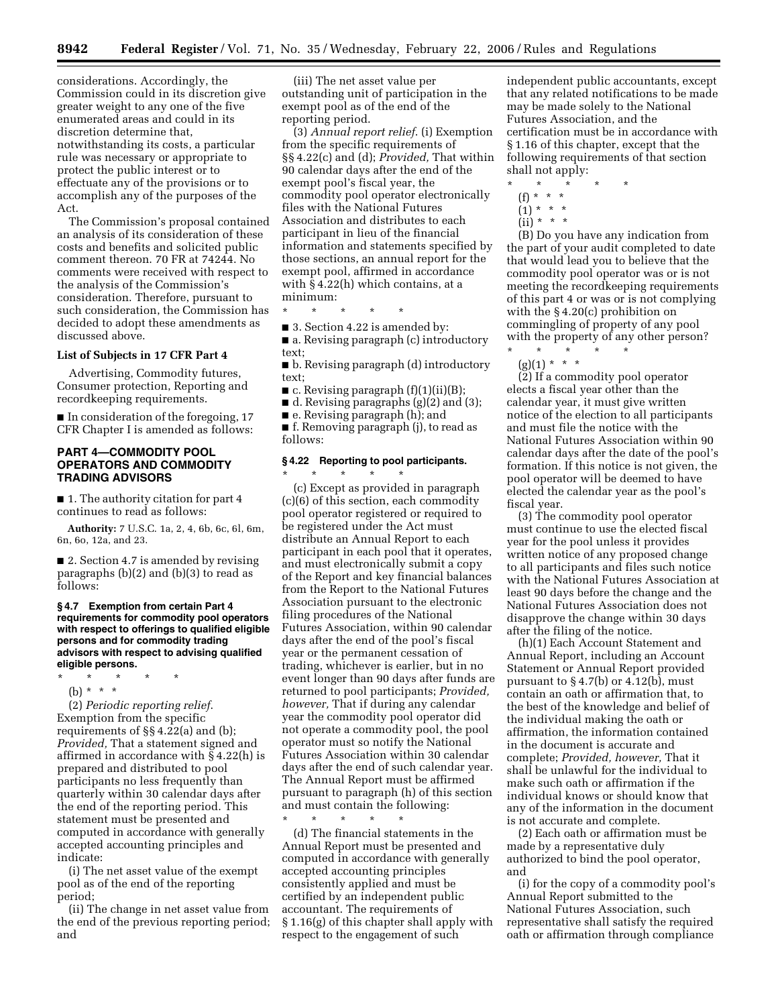considerations. Accordingly, the Commission could in its discretion give greater weight to any one of the five enumerated areas and could in its discretion determine that, notwithstanding its costs, a particular rule was necessary or appropriate to protect the public interest or to effectuate any of the provisions or to accomplish any of the purposes of the Act.

The Commission's proposal contained an analysis of its consideration of these costs and benefits and solicited public comment thereon. 70 FR at 74244. No comments were received with respect to the analysis of the Commission's consideration. Therefore, pursuant to such consideration, the Commission has decided to adopt these amendments as discussed above.

### **List of Subjects in 17 CFR Part 4**

Advertising, Commodity futures, Consumer protection, Reporting and recordkeeping requirements.

■ In consideration of the foregoing, 17 CFR Chapter I is amended as follows:

### **PART 4—COMMODITY POOL OPERATORS AND COMMODITY TRADING ADVISORS**

■ 1. The authority citation for part 4 continues to read as follows:

**Authority:** 7 U.S.C. 1a, 2, 4, 6b, 6c, 6l, 6m, 6n, 6o, 12a, and 23.

■ 2. Section 4.7 is amended by revising paragraphs (b)(2) and (b)(3) to read as follows:

#### **§ 4.7 Exemption from certain Part 4 requirements for commodity pool operators with respect to offerings to qualified eligible persons and for commodity trading advisors with respect to advising qualified eligible persons.**

- \* \* \* \* \*
	- (b) \* \* \*

(2) *Periodic reporting relief*. Exemption from the specific requirements of §§ 4.22(a) and (b); *Provided,* That a statement signed and affirmed in accordance with § 4.22(h) is prepared and distributed to pool participants no less frequently than quarterly within 30 calendar days after the end of the reporting period. This statement must be presented and computed in accordance with generally accepted accounting principles and indicate:

(i) The net asset value of the exempt pool as of the end of the reporting period;

(ii) The change in net asset value from the end of the previous reporting period; and

(iii) The net asset value per outstanding unit of participation in the exempt pool as of the end of the reporting period.

(3) *Annual report relief*. (i) Exemption from the specific requirements of §§ 4.22(c) and (d); *Provided,* That within 90 calendar days after the end of the exempt pool's fiscal year, the commodity pool operator electronically files with the National Futures Association and distributes to each participant in lieu of the financial information and statements specified by those sections, an annual report for the exempt pool, affirmed in accordance with § 4.22(h) which contains, at a minimum:

\* \* \* \* \*

■ 3. Section 4.22 is amended by:

■ a. Revising paragraph (c) introductory text;

■ b. Revising paragraph (d) introductory text;

 $\blacksquare$  c. Revising paragraph  $(f)(1)(ii)(B);$ 

 $\blacksquare$  d. Revising paragraphs (g)(2) and (3);

■ e. Revising paragraph (h); and

■ f. Removing paragraph (j), to read as follows:

# **§ 4.22 Reporting to pool participants.**

\* \* \* \* \* (c) Except as provided in paragraph (c)(6) of this section, each commodity pool operator registered or required to be registered under the Act must distribute an Annual Report to each participant in each pool that it operates, and must electronically submit a copy of the Report and key financial balances from the Report to the National Futures Association pursuant to the electronic filing procedures of the National Futures Association, within 90 calendar days after the end of the pool's fiscal year or the permanent cessation of trading, whichever is earlier, but in no event longer than 90 days after funds are returned to pool participants; *Provided, however,* That if during any calendar year the commodity pool operator did not operate a commodity pool, the pool operator must so notify the National Futures Association within 30 calendar days after the end of such calendar year. The Annual Report must be affirmed pursuant to paragraph (h) of this section and must contain the following:

\* \* \* \* \* (d) The financial statements in the Annual Report must be presented and computed in accordance with generally accepted accounting principles consistently applied and must be certified by an independent public accountant. The requirements of § 1.16(g) of this chapter shall apply with respect to the engagement of such

independent public accountants, except that any related notifications to be made may be made solely to the National Futures Association, and the certification must be in accordance with § 1.16 of this chapter, except that the following requirements of that section shall not apply:

- \* \* \* \* \*
- (f) \* \* \*
- $(1) * * * *$
- $(ii) * * * *$

(B) Do you have any indication from the part of your audit completed to date that would lead you to believe that the commodity pool operator was or is not meeting the recordkeeping requirements of this part 4 or was or is not complying with the § 4.20(c) prohibition on commingling of property of any pool with the property of any other person?

\* \* \* \* \*  $(g)(1) * * * *$ 

(2) If a commodity pool operator elects a fiscal year other than the calendar year, it must give written notice of the election to all participants and must file the notice with the National Futures Association within 90 calendar days after the date of the pool's formation. If this notice is not given, the pool operator will be deemed to have elected the calendar year as the pool's fiscal year.

(3) The commodity pool operator must continue to use the elected fiscal year for the pool unless it provides written notice of any proposed change to all participants and files such notice with the National Futures Association at least 90 days before the change and the National Futures Association does not disapprove the change within 30 days after the filing of the notice.

(h)(1) Each Account Statement and Annual Report, including an Account Statement or Annual Report provided pursuant to  $\S 4.7(b)$  or  $4.12(b)$ , must contain an oath or affirmation that, to the best of the knowledge and belief of the individual making the oath or affirmation, the information contained in the document is accurate and complete; *Provided, however,* That it shall be unlawful for the individual to make such oath or affirmation if the individual knows or should know that any of the information in the document is not accurate and complete.

(2) Each oath or affirmation must be made by a representative duly authorized to bind the pool operator, and

(i) for the copy of a commodity pool's Annual Report submitted to the National Futures Association, such representative shall satisfy the required oath or affirmation through compliance